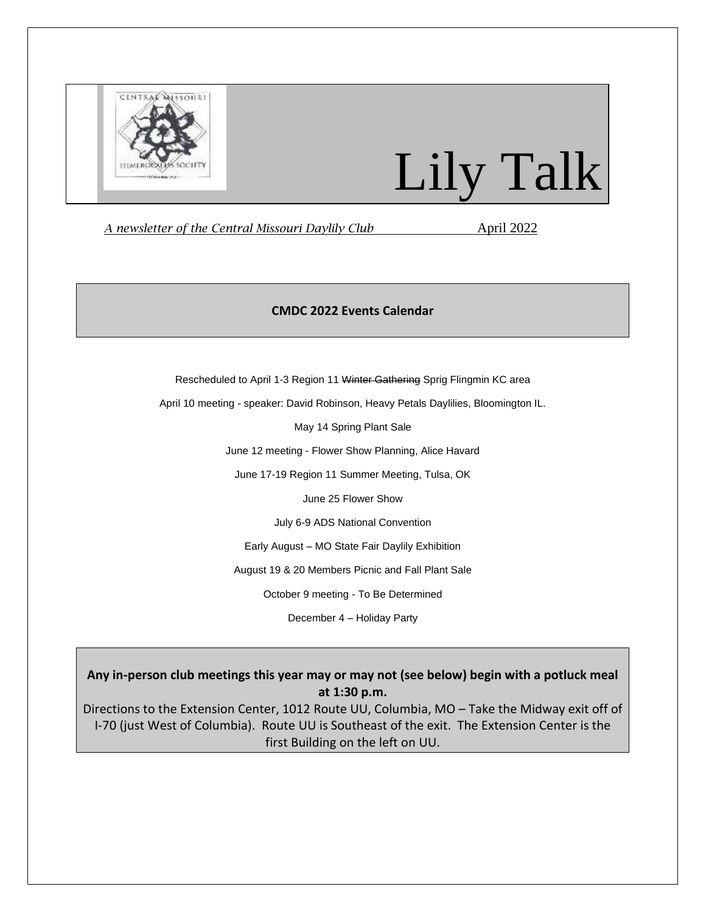

# Lily Talk

*A newsletter of the Central Missouri Daylily Club* April 2022

# **CMDC 2022 Events Calendar**

Rescheduled to April 1-3 Region 11 Winter Gathering Sprig Flingmin KC area

April 10 meeting - speaker: David Robinson, Heavy Petals Daylilies, Bloomington IL.

May 14 Spring Plant Sale

June 12 meeting - Flower Show Planning, Alice Havard

June 17-19 Region 11 Summer Meeting, Tulsa, OK

June 25 Flower Show

July 6-9 ADS National Convention

Early August – MO State Fair Daylily Exhibition

August 19 & 20 Members Picnic and Fall Plant Sale

October 9 meeting - To Be Determined

December 4 – Holiday Party

**Any in-person club meetings this year may or may not (see below) begin with a potluck meal at 1:30 p.m.**

Directions to the Extension Center, 1012 Route UU, Columbia, MO – Take the Midway exit off of I-70 (just West of Columbia). Route UU is Southeast of the exit. The Extension Center is the first Building on the left on UU.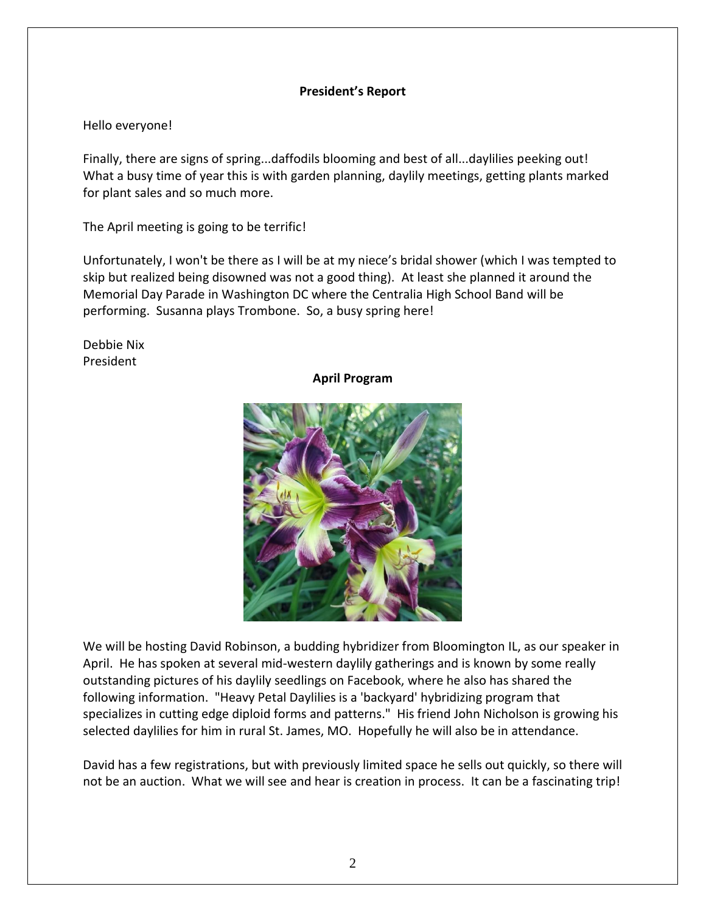## **President's Report**

## Hello everyone!

Finally, there are signs of spring...daffodils blooming and best of all...daylilies peeking out! What a busy time of year this is with garden planning, daylily meetings, getting plants marked for plant sales and so much more.

The April meeting is going to be terrific!

Unfortunately, I won't be there as I will be at my niece's bridal shower (which I was tempted to skip but realized being disowned was not a good thing). At least she planned it around the Memorial Day Parade in Washington DC where the Centralia High School Band will be performing. Susanna plays Trombone. So, a busy spring here!

Debbie Nix President

### **April Program**



We will be hosting David Robinson, a budding hybridizer from Bloomington IL, as our speaker in April. He has spoken at several mid-western daylily gatherings and is known by some really outstanding pictures of his daylily seedlings on Facebook, where he also has shared the following information. "Heavy Petal Daylilies is a 'backyard' hybridizing program that specializes in cutting edge diploid forms and patterns." His friend John Nicholson is growing his selected daylilies for him in rural St. James, MO. Hopefully he will also be in attendance.

David has a few registrations, but with previously limited space he sells out quickly, so there will not be an auction. What we will see and hear is creation in process. It can be a fascinating trip!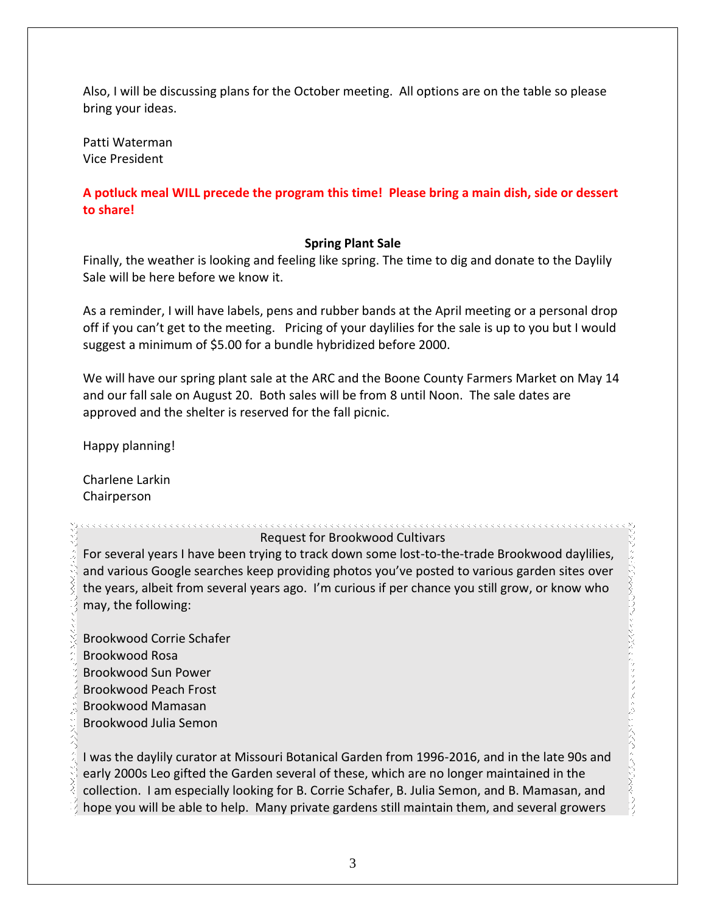Also, I will be discussing plans for the October meeting. All options are on the table so please bring your ideas.

Patti Waterman Vice President

# **A potluck meal WILL precede the program this time! Please bring a main dish, side or dessert to share!**

## **Spring Plant Sale**

Finally, the weather is looking and feeling like spring. The time to dig and donate to the Daylily Sale will be here before we know it.

As a reminder, I will have labels, pens and rubber bands at the April meeting or a personal drop off if you can't get to the meeting. Pricing of your daylilies for the sale is up to you but I would suggest a minimum of \$5.00 for a bundle hybridized before 2000.

We will have our spring plant sale at the ARC and the Boone County Farmers Market on May 14 and our fall sale on August 20. Both sales will be from 8 until Noon. The sale dates are approved and the shelter is reserved for the fall picnic.

Happy planning!

Charlene Larkin Chairperson

Request for Brookwood Cultivars

For several years I have been trying to track down some lost-to-the-trade Brookwood daylilies, and various Google searches keep providing photos you've posted to various garden sites over the years, albeit from several years ago. I'm curious if per chance you still grow, or know who may, the following:

Brookwood Corrie Schafer Brookwood Rosa Brookwood Sun Power Brookwood Peach Frost Brookwood Mamasan Brookwood Julia Semon

I was the daylily curator at Missouri Botanical Garden from 1996-2016, and in the late 90s and early 2000s Leo gifted the Garden several of these, which are no longer maintained in the collection. I am especially looking for B. Corrie Schafer, B. Julia Semon, and B. Mamasan, and hope you will be able to help. Many private gardens still maintain them, and several growers

しょうこうえん こう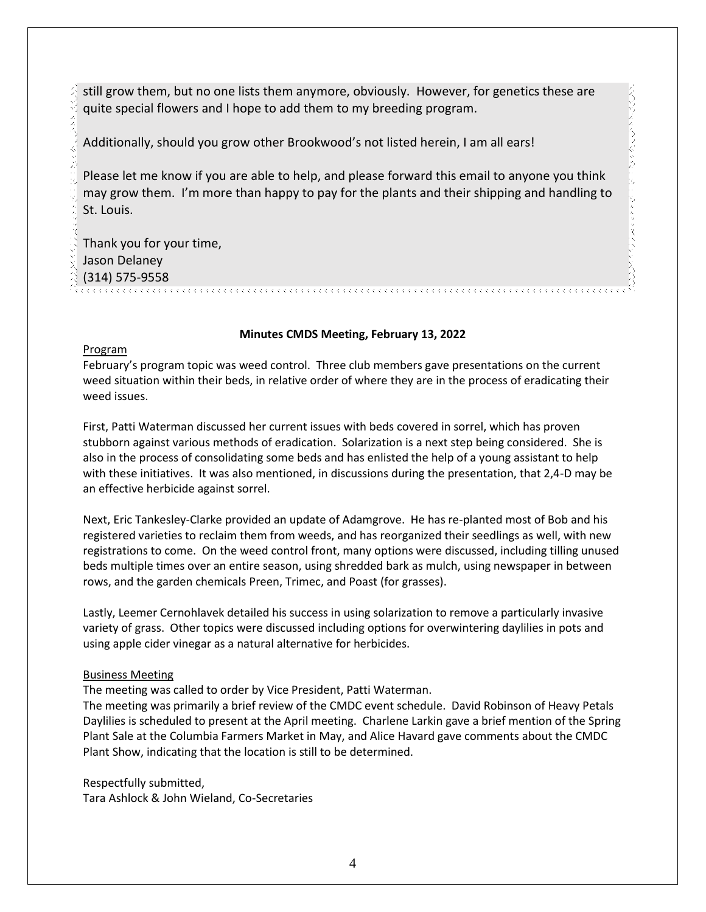still grow them, but no one lists them anymore, obviously. However, for genetics these are quite special flowers and I hope to add them to my breeding program.

Additionally, should you grow other Brookwood's not listed herein, I am all ears!

Please let me know if you are able to help, and please forward this email to anyone you think may grow them. I'm more than happy to pay for the plants and their shipping and handling to St. Louis.

Thank you for your time, Jason Delaney (314) 575-9558

#### **Minutes CMDS Meeting, February 13, 2022**

#### Program

February's program topic was weed control. Three club members gave presentations on the current weed situation within their beds, in relative order of where they are in the process of eradicating their weed issues.

First, Patti Waterman discussed her current issues with beds covered in sorrel, which has proven stubborn against various methods of eradication. Solarization is a next step being considered. She is also in the process of consolidating some beds and has enlisted the help of a young assistant to help with these initiatives. It was also mentioned, in discussions during the presentation, that 2,4-D may be an effective herbicide against sorrel.

Next, Eric Tankesley-Clarke provided an update of Adamgrove. He has re-planted most of Bob and his registered varieties to reclaim them from weeds, and has reorganized their seedlings as well, with new registrations to come. On the weed control front, many options were discussed, including tilling unused beds multiple times over an entire season, using shredded bark as mulch, using newspaper in between rows, and the garden chemicals Preen, Trimec, and Poast (for grasses).

Lastly, Leemer Cernohlavek detailed his success in using solarization to remove a particularly invasive variety of grass. Other topics were discussed including options for overwintering daylilies in pots and using apple cider vinegar as a natural alternative for herbicides.

#### Business Meeting

The meeting was called to order by Vice President, Patti Waterman.

The meeting was primarily a brief review of the CMDC event schedule. David Robinson of Heavy Petals Daylilies is scheduled to present at the April meeting. Charlene Larkin gave a brief mention of the Spring Plant Sale at the Columbia Farmers Market in May, and Alice Havard gave comments about the CMDC Plant Show, indicating that the location is still to be determined.

Respectfully submitted, Tara Ashlock & John Wieland, Co-Secretaries